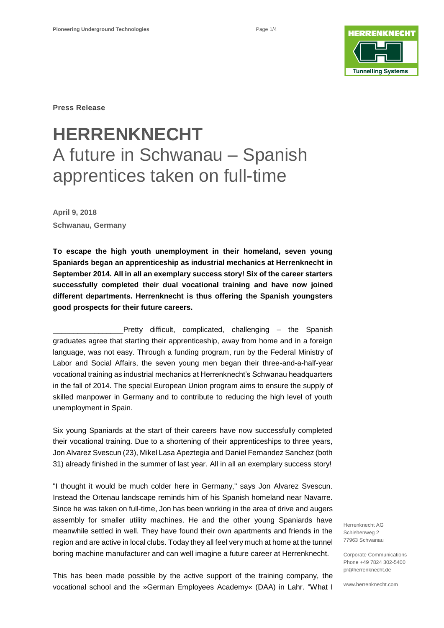

**Press Release**

# **HERRENKNECHT** A future in Schwanau – Spanish apprentices taken on full-time

**April 9, 2018 Schwanau, Germany**

**To escape the high youth unemployment in their homeland, seven young Spaniards began an apprenticeship as industrial mechanics at Herrenknecht in September 2014. All in all an exemplary success story! Six of the career starters successfully completed their dual vocational training and have now joined different departments. Herrenknecht is thus offering the Spanish youngsters good prospects for their future careers.**

Pretty difficult, complicated, challenging – the Spanish graduates agree that starting their apprenticeship, away from home and in a foreign language, was not easy. Through a funding program, run by the Federal Ministry of Labor and Social Affairs, the seven young men began their three-and-a-half-year vocational training as industrial mechanics at Herrenknecht's Schwanau headquarters in the fall of 2014. The special European Union program aims to ensure the supply of skilled manpower in Germany and to contribute to reducing the high level of youth unemployment in Spain.

Six young Spaniards at the start of their careers have now successfully completed their vocational training. Due to a shortening of their apprenticeships to three years, Jon Alvarez Svescun (23), Mikel Lasa Apeztegia and Daniel Fernandez Sanchez (both 31) already finished in the summer of last year. All in all an exemplary success story!

"I thought it would be much colder here in Germany," says Jon Alvarez Svescun. Instead the Ortenau landscape reminds him of his Spanish homeland near Navarre. Since he was taken on full-time, Jon has been working in the area of drive and augers assembly for smaller utility machines. He and the other young Spaniards have meanwhile settled in well. They have found their own apartments and friends in the region and are active in local clubs. Today they all feel very much at home at the tunnel boring machine manufacturer and can well imagine a future career at Herrenknecht.

Herrenknecht AG Schlehenweg 2 77963 Schwanau

Corporate Communications Phone +49 7824 302-5400 pr@herrenknecht.de

www.herrenknecht.com

This has been made possible by the active support of the training company, the vocational school and the »German Employees Academy« (DAA) in Lahr. "What I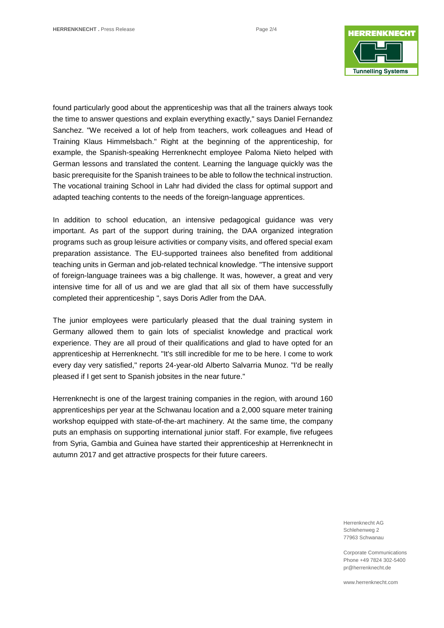

found particularly good about the apprenticeship was that all the trainers always took the time to answer questions and explain everything exactly," says Daniel Fernandez Sanchez. "We received a lot of help from teachers, work colleagues and Head of Training Klaus Himmelsbach." Right at the beginning of the apprenticeship, for example, the Spanish-speaking Herrenknecht employee Paloma Nieto helped with German lessons and translated the content. Learning the language quickly was the basic prerequisite for the Spanish trainees to be able to follow the technical instruction. The vocational training School in Lahr had divided the class for optimal support and adapted teaching contents to the needs of the foreign-language apprentices.

In addition to school education, an intensive pedagogical guidance was very important. As part of the support during training, the DAA organized integration programs such as group leisure activities or company visits, and offered special exam preparation assistance. The EU-supported trainees also benefited from additional teaching units in German and job-related technical knowledge. "The intensive support of foreign-language trainees was a big challenge. It was, however, a great and very intensive time for all of us and we are glad that all six of them have successfully completed their apprenticeship ", says Doris Adler from the DAA.

The junior employees were particularly pleased that the dual training system in Germany allowed them to gain lots of specialist knowledge and practical work experience. They are all proud of their qualifications and glad to have opted for an apprenticeship at Herrenknecht. "It's still incredible for me to be here. I come to work every day very satisfied," reports 24-year-old Alberto Salvarria Munoz. "I'd be really pleased if I get sent to Spanish jobsites in the near future."

Herrenknecht is one of the largest training companies in the region, with around 160 apprenticeships per year at the Schwanau location and a 2,000 square meter training workshop equipped with state-of-the-art machinery. At the same time, the company puts an emphasis on supporting international junior staff. For example, five refugees from Syria, Gambia and Guinea have started their apprenticeship at Herrenknecht in autumn 2017 and get attractive prospects for their future careers.

> Herrenknecht AG Schlehenweg 2 77963 Schwanau

Corporate Communications Phone +49 7824 302-5400 pr@herrenknecht.de

www.herrenknecht.com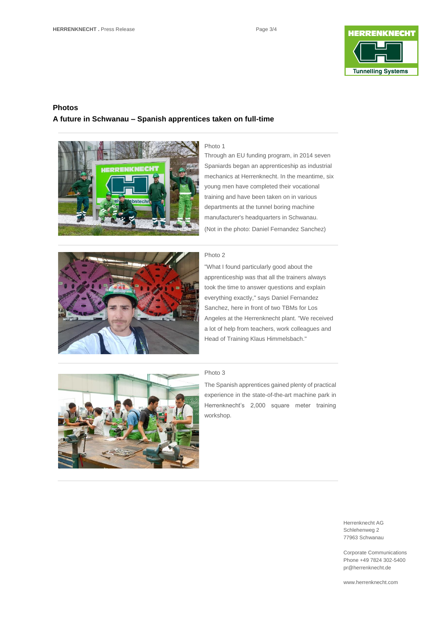

## **Photos A future in Schwanau – Spanish apprentices taken on full-time**



#### Photo 1

Through an EU funding program, in 2014 seven Spaniards began an apprenticeship as industrial mechanics at Herrenknecht. In the meantime, six young men have completed their vocational training and have been taken on in various departments at the tunnel boring machine manufacturer's headquarters in Schwanau. (Not in the photo: Daniel Fernandez Sanchez)



#### Photo 2

"What I found particularly good about the apprenticeship was that all the trainers always took the time to answer questions and explain everything exactly," says Daniel Fernandez Sanchez, here in front of two TBMs for Los Angeles at the Herrenknecht plant. "We received a lot of help from teachers, work colleagues and Head of Training Klaus Himmelsbach."



### Photo 3

The Spanish apprentices gained plenty of practical experience in the state-of-the-art machine park in Herrenknecht's 2,000 square meter training workshop.

> Herrenknecht AG Schlehenweg 2 77963 Schwanau

Corporate Communications Phone +49 7824 302-5400 pr@herrenknecht.de

www.herrenknecht.com